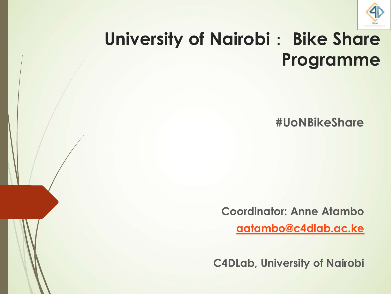

#### **University of Nairobi: Bike Share Programme**

**#UoNBikeShare**

**Coordinator: Anne Atambo**

**aatambo@c4dlab.ac.ke**

**C4DLab, University of Nairobi**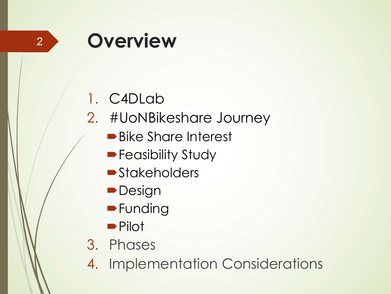#### 2

## **Overview**

#### 1. C4DLab

- 2. #UoNBikeshare Journey
	- Bike Share Interest
	- **Feasibility Study**
	- **Stakeholders**
	- **Design**
	- **•**Funding
	- **•Pilot**
- 3. Phases
- 4. Implementation Considerations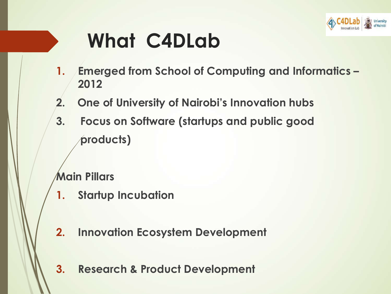

# **What C4DLab**

- **1. Emerged from School of Computing and Informatics – 2012**
- **2. One of University of Nairobi's Innovation hubs**
- **3. Focus on Software (startups and public good products)**

**Main Pillars**

- **1. Startup Incubation**
- **2. Innovation Ecosystem Development**
- **3. Research & Product Development**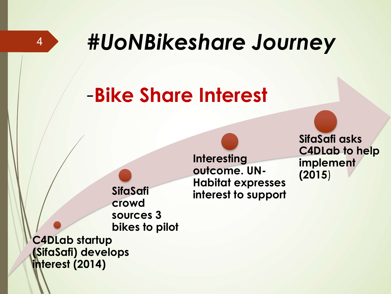

# *#UoNBikeshare Journey*

**Interesting** 

**outcome. UN-**

**Habitat expresses** 

**interest to support**

## *-***Bike Share Interest**

**SifaSafi crowd sources 3 bikes to pilot**

**C4DLab startup (SifaSafi) develops interest (2014)**

**SifaSafi asks C4DLab to help implement (2015**)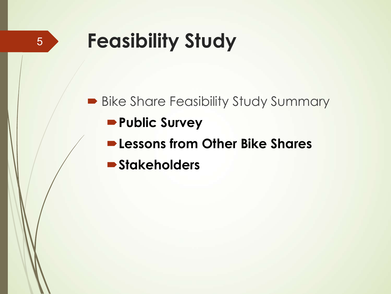# **Feasibility Study**

5

**• Bike Share Feasibility Study Summary Public Survey** ´**Lessons from Other Bike Shares**  $\blacktriangleright$  **Stakeholders**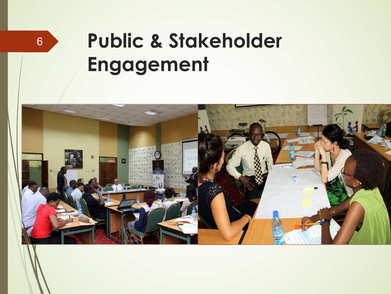# **Public & Stakeholder Engagement**



6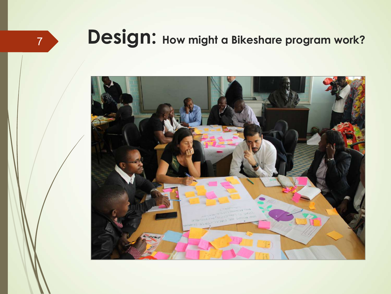#### **7 <b>Design:** How might a Bikeshare program work?

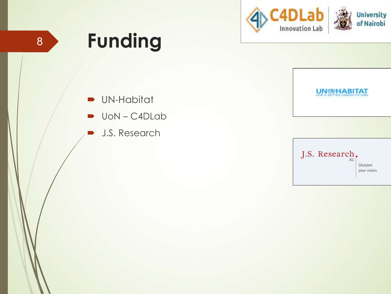



 $\blacksquare$  UN-Habitat

- $\rightarrow$  UoN C4DLab
- **D** J.S. Research

**UN BELLABITAT** 

J.S. Research, Sharpen your vision.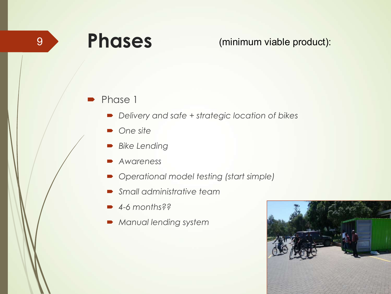### **Phases**

9 (minimum viable product):

#### Phase 1

- ´ *Delivery and safe + strategic location of bikes*
- ´ *One site*
- ´ *Bike Lending*
- ´ *Awareness*
- ´ *Operational model testing (start simple)*
- ´ *Small administrative team*
- ´ *4-6 months??*
- $\blacktriangleright$  *Manual lending system*

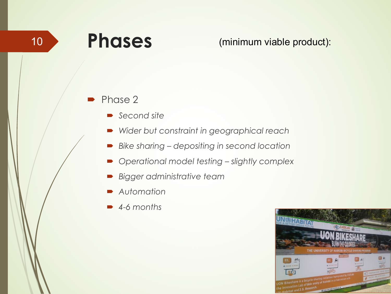### **Phases**

10 Phases (minimum viable product):

#### Phase 2

- ´ *Second site*
- ´ *Wider but constraint in geographical reach*
- ´ *Bike sharing – depositing in second location*
- ´ *Operational model testing – slightly complex*
- ´ *Bigger administrative team*
- ´ *Automation*
- ´ *4-6 months*

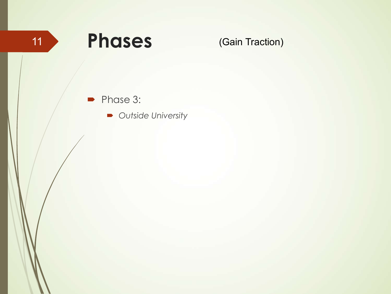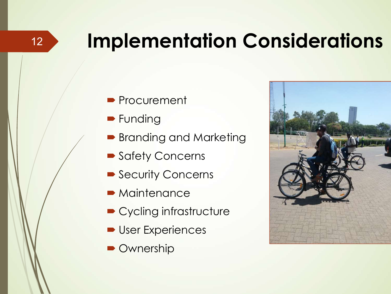# **Implementation Considerations**

- **Procurement**
- **•** Funding
- Branding and Marketing
- Safety Concerns
- Security Concerns
- $\blacktriangleright$  Maintenance
- Cycling infrastructure
- User Experiences
- **Ownership**



12